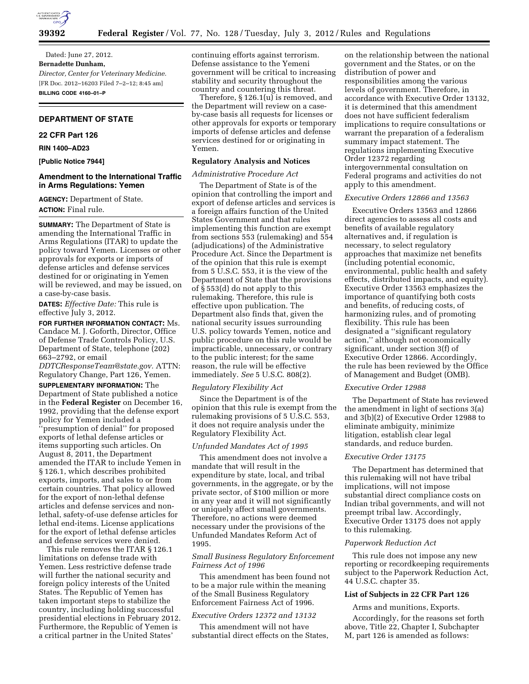

Dated: June 27, 2012. **Bernadette Dunham,**  *Director, Center for Veterinary Medicine.*  [FR Doc. 2012–16203 Filed 7–2–12; 8:45 am] **BILLING CODE 4160–01–P** 

# **DEPARTMENT OF STATE**

# **22 CFR Part 126**

### **RIN 1400–AD23**

**[Public Notice 7944]** 

# **Amendment to the International Traffic in Arms Regulations: Yemen**

**AGENCY:** Department of State. **ACTION:** Final rule.

**SUMMARY:** The Department of State is amending the International Traffic in Arms Regulations (ITAR) to update the policy toward Yemen. Licenses or other approvals for exports or imports of defense articles and defense services destined for or originating in Yemen will be reviewed, and may be issued, on a case-by-case basis.

**DATES:** *Effective Date:* This rule is effective July 3, 2012.

**FOR FURTHER INFORMATION CONTACT:** Ms. Candace M. J. Goforth, Director, Office of Defense Trade Controls Policy, U.S. Department of State, telephone (202) 663–2792, or email

*[DDTCResponseTeam@state.gov.](mailto:DDTCResponseTeam@state.gov)* ATTN: Regulatory Change, Part 126, Yemen.

**SUPPLEMENTARY INFORMATION:** The Department of State published a notice in the **Federal Register** on December 16, 1992, providing that the defense export policy for Yemen included a

'presumption of denial" for proposed exports of lethal defense articles or items supporting such articles. On August 8, 2011, the Department amended the ITAR to include Yemen in § 126.1, which describes prohibited exports, imports, and sales to or from certain countries. That policy allowed for the export of non-lethal defense articles and defense services and nonlethal, safety-of-use defense articles for lethal end-items. License applications for the export of lethal defense articles and defense services were denied.

This rule removes the ITAR § 126.1 limitations on defense trade with Yemen. Less restrictive defense trade will further the national security and foreign policy interests of the United States. The Republic of Yemen has taken important steps to stabilize the country, including holding successful presidential elections in February 2012. Furthermore, the Republic of Yemen is a critical partner in the United States'

continuing efforts against terrorism. Defense assistance to the Yemeni government will be critical to increasing stability and security throughout the country and countering this threat.

Therefore, § 126.1(u) is removed, and the Department will review on a caseby-case basis all requests for licenses or other approvals for exports or temporary imports of defense articles and defense services destined for or originating in Yemen.

# **Regulatory Analysis and Notices**

#### *Administrative Procedure Act*

The Department of State is of the opinion that controlling the import and export of defense articles and services is a foreign affairs function of the United States Government and that rules implementing this function are exempt from sections 553 (rulemaking) and 554 (adjudications) of the Administrative Procedure Act. Since the Department is of the opinion that this rule is exempt from 5 U.S.C. 553, it is the view of the Department of State that the provisions of § 553(d) do not apply to this rulemaking. Therefore, this rule is effective upon publication. The Department also finds that, given the national security issues surrounding U.S. policy towards Yemen, notice and public procedure on this rule would be impracticable, unnecessary, or contrary to the public interest; for the same reason, the rule will be effective immediately. *See* 5 U.S.C. 808(2).

#### *Regulatory Flexibility Act*

Since the Department is of the opinion that this rule is exempt from the rulemaking provisions of 5 U.S.C. 553, it does not require analysis under the Regulatory Flexibility Act.

### *Unfunded Mandates Act of 1995*

This amendment does not involve a mandate that will result in the expenditure by state, local, and tribal governments, in the aggregate, or by the private sector, of \$100 million or more in any year and it will not significantly or uniquely affect small governments. Therefore, no actions were deemed necessary under the provisions of the Unfunded Mandates Reform Act of 1995.

# *Small Business Regulatory Enforcement Fairness Act of 1996*

This amendment has been found not to be a major rule within the meaning of the Small Business Regulatory Enforcement Fairness Act of 1996.

# *Executive Orders 12372 and 13132*

This amendment will not have substantial direct effects on the States,

on the relationship between the national government and the States, or on the distribution of power and responsibilities among the various levels of government. Therefore, in accordance with Executive Order 13132, it is determined that this amendment does not have sufficient federalism implications to require consultations or warrant the preparation of a federalism summary impact statement. The regulations implementing Executive Order 12372 regarding intergovernmental consultation on Federal programs and activities do not apply to this amendment.

#### *Executive Orders 12866 and 13563*

Executive Orders 13563 and 12866 direct agencies to assess all costs and benefits of available regulatory alternatives and, if regulation is necessary, to select regulatory approaches that maximize net benefits (including potential economic, environmental, public health and safety effects, distributed impacts, and equity). Executive Order 13563 emphasizes the importance of quantifying both costs and benefits, of reducing costs, of harmonizing rules, and of promoting flexibility. This rule has been designated a ''significant regulatory action,'' although not economically significant, under section 3(f) of Executive Order 12866. Accordingly, the rule has been reviewed by the Office of Management and Budget (OMB).

#### *Executive Order 12988*

The Department of State has reviewed the amendment in light of sections 3(a) and 3(b)(2) of Executive Order 12988 to eliminate ambiguity, minimize litigation, establish clear legal standards, and reduce burden.

# *Executive Order 13175*

The Department has determined that this rulemaking will not have tribal implications, will not impose substantial direct compliance costs on Indian tribal governments, and will not preempt tribal law. Accordingly, Executive Order 13175 does not apply to this rulemaking.

### *Paperwork Reduction Act*

This rule does not impose any new reporting or recordkeeping requirements subject to the Paperwork Reduction Act, 44 U.S.C. chapter 35.

### **List of Subjects in 22 CFR Part 126**

Arms and munitions, Exports.

Accordingly, for the reasons set forth above, Title 22, Chapter I, Subchapter M, part 126 is amended as follows: